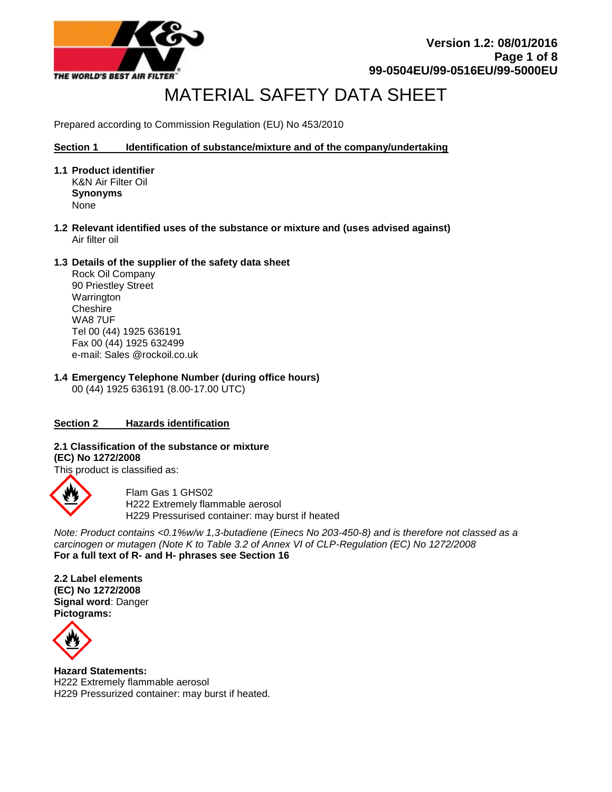

**Version 1.2: 08/01/2016 Page 1 of 8 99-0504EU/99-0516EU/99-5000EU**

# MATERIAL SAFETY DATA SHEET

Prepared according to Commission Regulation (EU) No 453/2010

#### **Section 1 Identification of substance/mixture and of the company/undertaking**

- **1.1 Product identifier** K&N Air Filter Oil **Synonyms** None
- **1.2 Relevant identified uses of the substance or mixture and (uses advised against)** Air filter oil

#### **1.3 Details of the supplier of the safety data sheet**

Rock Oil Company 90 Priestley Street Warrington **Cheshire** WA8 7UF Tel 00 (44) 1925 636191 Fax 00 (44) 1925 632499 e-mail: Sales @rockoil.co.uk

**1.4 Emergency Telephone Number (during office hours)**  00 (44) 1925 636191 (8.00-17.00 UTC)

# **Section 2 Hazards identification**

**2.1 Classification of the substance or mixture (EC) No 1272/2008**

This product is classified as:



Flam Gas 1 GHS02 H222 Extremely flammable aerosol H229 Pressurised container: may burst if heated

*Note: Product contains <0.1%w/w 1,3-butadiene (Einecs No 203-450-8) and is therefore not classed as a carcinogen or mutagen (Note K to Table 3.2 of Annex VI of CLP-Regulation (EC) No 1272/2008* **For a full text of R- and H- phrases see Section 16**

**2.2 Label elements (EC) No 1272/2008 Signal word**: Danger **Pictograms:** 



**Hazard Statements:**  H222 Extremely flammable aerosol H229 Pressurized container: may burst if heated.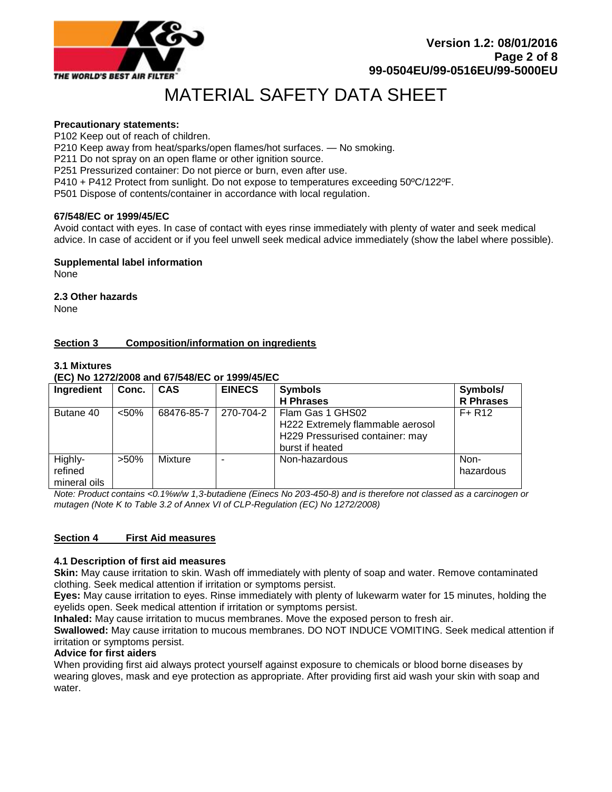

# **Precautionary statements:**

P102 Keep out of reach of children.

P210 Keep away from heat/sparks/open flames/hot surfaces. — No smoking.

P211 Do not spray on an open flame or other ignition source.

P251 Pressurized container: Do not pierce or burn, even after use.

P410 + P412 Protect from sunlight. Do not expose to temperatures exceeding 50ºC/122ºF.

P501 Dispose of contents/container in accordance with local regulation.

#### **67/548/EC or 1999/45/EC**

Avoid contact with eyes. In case of contact with eyes rinse immediately with plenty of water and seek medical advice. In case of accident or if you feel unwell seek medical advice immediately (show the label where possible).

#### **Supplemental label information**

None

# **2.3 Other hazards**

None

# **Section 3 Composition/information on ingredients**

# **3.1 Mixtures**

**(EC) No 1272/2008 and 67/548/EC or 1999/45/EC**

| Ingredient   | Conc.   | <b>CAS</b> | <b>EINECS</b> | <b>Symbols</b>                   | Symbols/         |
|--------------|---------|------------|---------------|----------------------------------|------------------|
|              |         |            |               | <b>H</b> Phrases                 | <b>R</b> Phrases |
| Butane 40    | < 50%   | 68476-85-7 | 270-704-2     | Flam Gas 1 GHS02                 | $F+R12$          |
|              |         |            |               | H222 Extremely flammable aerosol |                  |
|              |         |            |               | H229 Pressurised container: may  |                  |
|              |         |            |               | burst if heated                  |                  |
| Highly-      | $>50\%$ | Mixture    |               | Non-hazardous                    | Non-             |
| refined      |         |            |               |                                  | hazardous        |
| mineral oils |         |            |               |                                  |                  |

*Note: Product contains <0.1%w/w 1,3-butadiene (Einecs No 203-450-8) and is therefore not classed as a carcinogen or mutagen (Note K to Table 3.2 of Annex VI of CLP-Regulation (EC) No 1272/2008)*

#### **Section 4 First Aid measures**

#### **4.1 Description of first aid measures**

**Skin:** May cause irritation to skin. Wash off immediately with plenty of soap and water. Remove contaminated clothing. Seek medical attention if irritation or symptoms persist.

**Eyes:** May cause irritation to eyes. Rinse immediately with plenty of lukewarm water for 15 minutes, holding the eyelids open. Seek medical attention if irritation or symptoms persist.

**Inhaled:** May cause irritation to mucus membranes. Move the exposed person to fresh air.

**Swallowed:** May cause irritation to mucous membranes. DO NOT INDUCE VOMITING. Seek medical attention if irritation or symptoms persist.

#### **Advice for first aiders**

When providing first aid always protect yourself against exposure to chemicals or blood borne diseases by wearing gloves, mask and eye protection as appropriate. After providing first aid wash your skin with soap and water.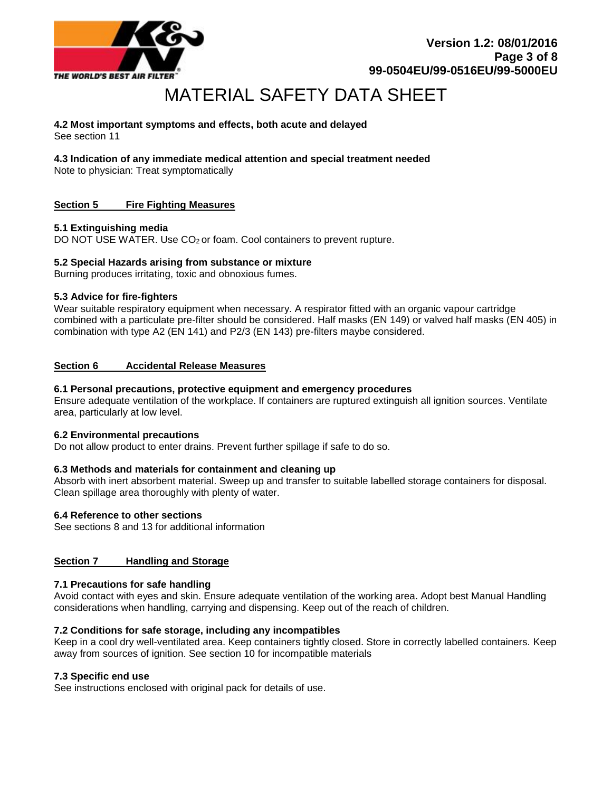

# **4.2 Most important symptoms and effects, both acute and delayed**

See section 11

# **4.3 Indication of any immediate medical attention and special treatment needed**

Note to physician: Treat symptomatically

# **Section 5 Fire Fighting Measures**

# **5.1 Extinguishing media**

DO NOT USE WATER. Use CO<sub>2</sub> or foam. Cool containers to prevent rupture.

# **5.2 Special Hazards arising from substance or mixture**

Burning produces irritating, toxic and obnoxious fumes.

# **5.3 Advice for fire-fighters**

Wear suitable respiratory equipment when necessary. A respirator fitted with an organic vapour cartridge combined with a particulate pre-filter should be considered. Half masks (EN 149) or valved half masks (EN 405) in combination with type A2 (EN 141) and P2/3 (EN 143) pre-filters maybe considered.

# **Section 6 Accidental Release Measures**

# **6.1 Personal precautions, protective equipment and emergency procedures**

Ensure adequate ventilation of the workplace. If containers are ruptured extinguish all ignition sources. Ventilate area, particularly at low level.

#### **6.2 Environmental precautions**

Do not allow product to enter drains. Prevent further spillage if safe to do so.

#### **6.3 Methods and materials for containment and cleaning up**

Absorb with inert absorbent material. Sweep up and transfer to suitable labelled storage containers for disposal. Clean spillage area thoroughly with plenty of water.

#### **6.4 Reference to other sections**

See sections 8 and 13 for additional information

# **Section 7 Handling and Storage**

#### **7.1 Precautions for safe handling**

Avoid contact with eyes and skin. Ensure adequate ventilation of the working area. Adopt best Manual Handling considerations when handling, carrying and dispensing. Keep out of the reach of children.

# **7.2 Conditions for safe storage, including any incompatibles**

Keep in a cool dry well-ventilated area. Keep containers tightly closed. Store in correctly labelled containers. Keep away from sources of ignition. See section 10 for incompatible materials

#### **7.3 Specific end use**

See instructions enclosed with original pack for details of use.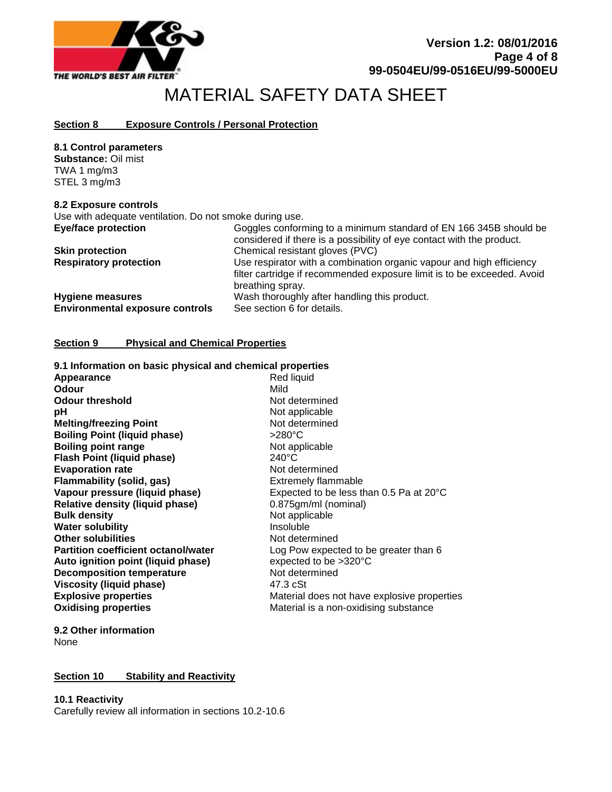

# **Section 8 Exposure Controls / Personal Protection**

**8.1 Control parameters Substance:** Oil mist TWA 1 mg/m3 STEL 3 mg/m3

#### **8.2 Exposure controls**

Use with adequate ventilation. Do not smoke during use.

| <b>Eye/face protection</b>                                        | Goggles conforming to a minimum standard of EN 166 345B should be<br>considered if there is a possibility of eye contact with the product.                          |
|-------------------------------------------------------------------|---------------------------------------------------------------------------------------------------------------------------------------------------------------------|
| <b>Skin protection</b>                                            | Chemical resistant gloves (PVC)                                                                                                                                     |
| <b>Respiratory protection</b>                                     | Use respirator with a combination organic vapour and high efficiency<br>filter cartridge if recommended exposure limit is to be exceeded. Avoid<br>breathing spray. |
| <b>Hygiene measures</b><br><b>Environmental exposure controls</b> | Wash thoroughly after handling this product.<br>See section 6 for details.                                                                                          |

# **Section 9 Physical and Chemical Properties**

| 9.1 Information on basic physical and chemical properties |                                             |
|-----------------------------------------------------------|---------------------------------------------|
| Appearance                                                | Red liquid                                  |
| Odour                                                     | Mild                                        |
| <b>Odour threshold</b>                                    | Not determined                              |
| рH                                                        | Not applicable                              |
| <b>Melting/freezing Point</b>                             | Not determined                              |
| <b>Boiling Point (liquid phase)</b>                       | $>280^{\circ}$ C                            |
| <b>Boiling point range</b>                                | Not applicable                              |
| Flash Point (liquid phase)                                | $240^{\circ}$ C                             |
| <b>Evaporation rate</b>                                   | Not determined                              |
| Flammability (solid, gas)                                 | <b>Extremely flammable</b>                  |
| Vapour pressure (liquid phase)                            | Expected to be less than 0.5 Pa at 20°C     |
| <b>Relative density (liquid phase)</b>                    | 0.875gm/ml (nominal)                        |
| <b>Bulk density</b>                                       | Not applicable                              |
| <b>Water solubility</b>                                   | Insoluble                                   |
| <b>Other solubilities</b>                                 | Not determined                              |
| <b>Partition coefficient octanol/water</b>                | Log Pow expected to be greater than 6       |
| Auto ignition point (liquid phase)                        | expected to be $>320^{\circ}$ C             |
| <b>Decomposition temperature</b>                          | Not determined                              |
| <b>Viscosity (liquid phase)</b>                           | 47.3 cSt                                    |
| <b>Explosive properties</b>                               | Material does not have explosive properties |
| <b>Oxidising properties</b>                               | Material is a non-oxidising substance       |
|                                                           |                                             |

#### **9.2 Other information** None

# **Section 10 Stability and Reactivity**

**10.1 Reactivity**

Carefully review all information in sections 10.2-10.6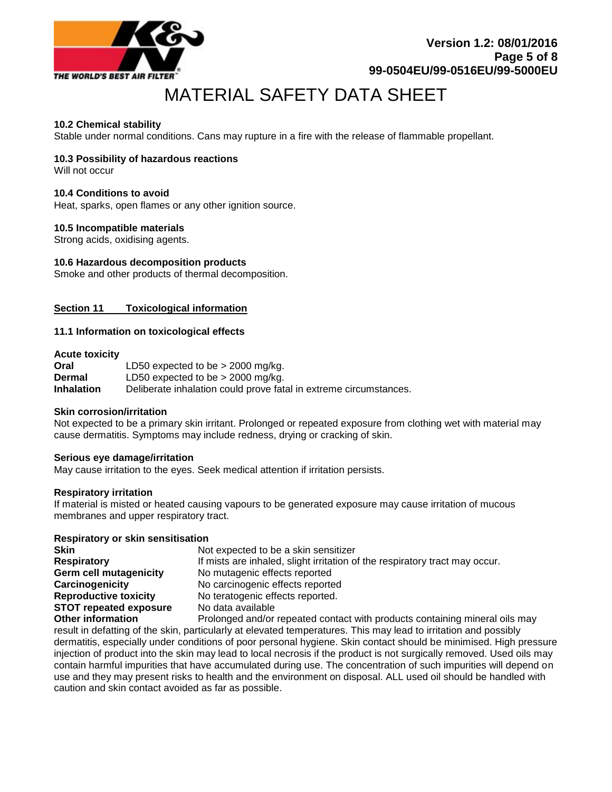

# **10.2 Chemical stability**

Stable under normal conditions. Cans may rupture in a fire with the release of flammable propellant.

# **10.3 Possibility of hazardous reactions**

Will not occur

#### **10.4 Conditions to avoid**

Heat, sparks, open flames or any other ignition source.

#### **10.5 Incompatible materials**

Strong acids, oxidising agents.

#### **10.6 Hazardous decomposition products**

Smoke and other products of thermal decomposition.

#### **Section 11 Toxicological information**

#### **11.1 Information on toxicological effects**

#### **Acute toxicity**

| Oral              | LD50 expected to be $>$ 2000 mg/kg.                               |
|-------------------|-------------------------------------------------------------------|
| Dermal            | LD50 expected to be $>$ 2000 mg/kg.                               |
| <b>Inhalation</b> | Deliberate inhalation could prove fatal in extreme circumstances. |

#### **Skin corrosion/irritation**

Not expected to be a primary skin irritant. Prolonged or repeated exposure from clothing wet with material may cause dermatitis. Symptoms may include redness, drying or cracking of skin.

#### **Serious eye damage/irritation**

May cause irritation to the eyes. Seek medical attention if irritation persists.

#### **Respiratory irritation**

If material is misted or heated causing vapours to be generated exposure may cause irritation of mucous membranes and upper respiratory tract.

#### **Respiratory or skin sensitisation**

| <b>Skin</b>                   | Not expected to be a skin sensitizer                                        |
|-------------------------------|-----------------------------------------------------------------------------|
| <b>Respiratory</b>            | If mists are inhaled, slight irritation of the respiratory tract may occur. |
| <b>Germ cell mutagenicity</b> | No mutagenic effects reported                                               |
| Carcinogenicity               | No carcinogenic effects reported                                            |
| <b>Reproductive toxicity</b>  | No teratogenic effects reported.                                            |
| <b>STOT repeated exposure</b> | No data available                                                           |
| <b>Other information</b>      | Prolonged and/or repeated contact with products containing mineral oils may |

result in defatting of the skin, particularly at elevated temperatures. This may lead to irritation and possibly dermatitis, especially under conditions of poor personal hygiene. Skin contact should be minimised. High pressure injection of product into the skin may lead to local necrosis if the product is not surgically removed. Used oils may contain harmful impurities that have accumulated during use. The concentration of such impurities will depend on use and they may present risks to health and the environment on disposal. ALL used oil should be handled with caution and skin contact avoided as far as possible.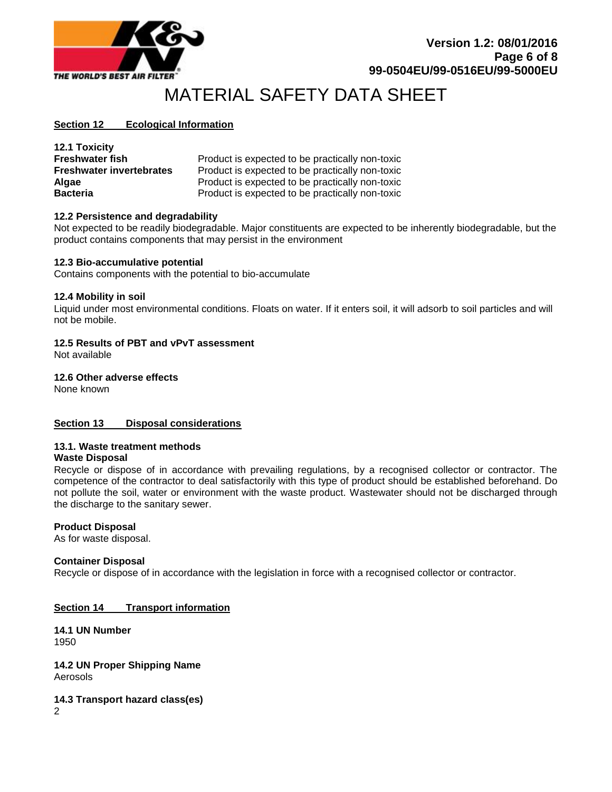

# **Section 12 Ecological Information**

| <b>12.1 Toxicity</b>            |                                                 |
|---------------------------------|-------------------------------------------------|
| <b>Freshwater fish</b>          | Product is expected to be practically non-toxic |
| <b>Freshwater invertebrates</b> | Product is expected to be practically non-toxic |
| <b>Algae</b>                    | Product is expected to be practically non-toxic |
| <b>Bacteria</b>                 | Product is expected to be practically non-toxic |

#### **12.2 Persistence and degradability**

Not expected to be readily biodegradable. Major constituents are expected to be inherently biodegradable, but the product contains components that may persist in the environment

#### **12.3 Bio-accumulative potential**

Contains components with the potential to bio-accumulate

# **12.4 Mobility in soil**

Liquid under most environmental conditions. Floats on water. If it enters soil, it will adsorb to soil particles and will not be mobile.

# **12.5 Results of PBT and vPvT assessment**

Not available

#### **12.6 Other adverse effects**

None known

#### **Section 13 Disposal considerations**

#### **13.1. Waste treatment methods**

#### **Waste Disposal**

Recycle or dispose of in accordance with prevailing regulations, by a recognised collector or contractor. The competence of the contractor to deal satisfactorily with this type of product should be established beforehand. Do not pollute the soil, water or environment with the waste product. Wastewater should not be discharged through the discharge to the sanitary sewer.

#### **Product Disposal**

As for waste disposal.

#### **Container Disposal**

Recycle or dispose of in accordance with the legislation in force with a recognised collector or contractor.

#### **Section 14 Transport information**

**14.1 UN Number** 1950

**14.2 UN Proper Shipping Name** Aerosols

**14.3 Transport hazard class(es)** 2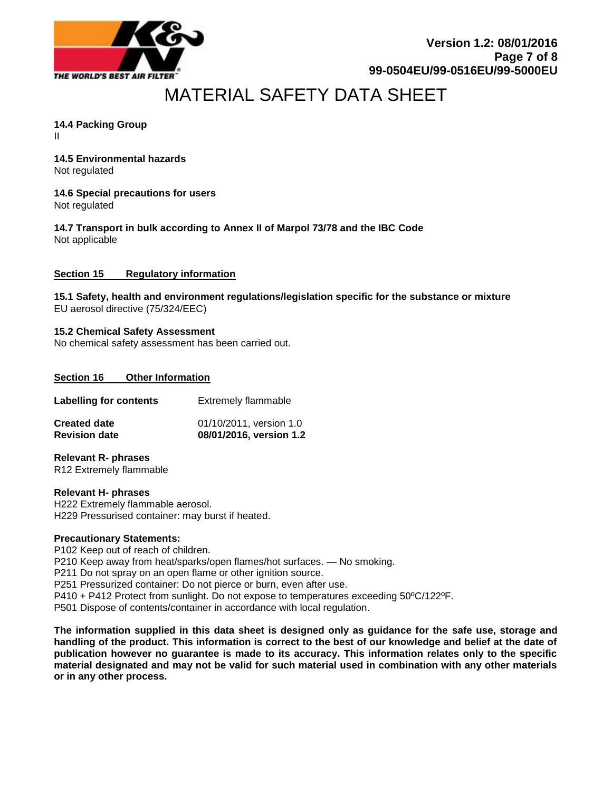

# **14.4 Packing Group**

II

# **14.5 Environmental hazards**

Not regulated

# **14.6 Special precautions for users**

Not regulated

**14.7 Transport in bulk according to Annex II of Marpol 73/78 and the IBC Code** Not applicable

# **Section 15 Regulatory information**

**15.1 Safety, health and environment regulations/legislation specific for the substance or mixture** EU aerosol directive (75/324/EEC)

#### **15.2 Chemical Safety Assessment** No chemical safety assessment has been carried out.

# **Section 16 Other Information**

| <b>Created date</b>           | 01/10/2011, version 1.0    |
|-------------------------------|----------------------------|
| <b>Revision date</b>          | 08/01/2016, version 1.2    |
| <b>Labelling for contents</b> | <b>Extremely flammable</b> |

#### **Relevant R- phrases** R12 Extremely flammable

**Relevant H- phrases** H222 Extremely flammable aerosol. H229 Pressurised container: may burst if heated.

# **Precautionary Statements:**

P102 Keep out of reach of children. P210 Keep away from heat/sparks/open flames/hot surfaces. — No smoking. P211 Do not spray on an open flame or other ignition source. P251 Pressurized container: Do not pierce or burn, even after use. P410 + P412 Protect from sunlight. Do not expose to temperatures exceeding 50ºC/122ºF. P501 Dispose of contents/container in accordance with local regulation.

**The information supplied in this data sheet is designed only as guidance for the safe use, storage and handling of the product. This information is correct to the best of our knowledge and belief at the date of publication however no guarantee is made to its accuracy. This information relates only to the specific material designated and may not be valid for such material used in combination with any other materials or in any other process.**